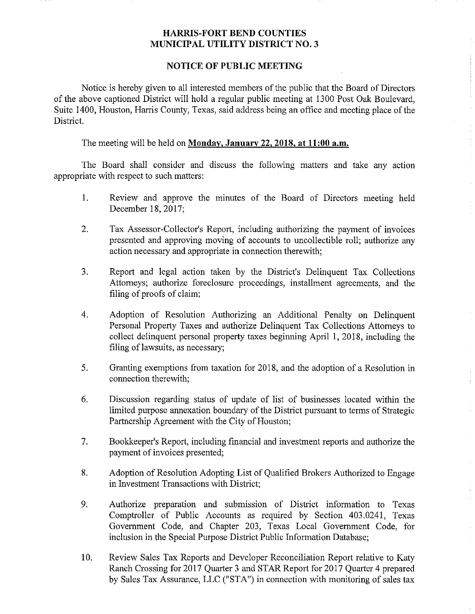## HARRIS-FORT BEND COUNTIES MUNICIPAL UTILITY DISTRICT NO. 3

## NOTICE OF PUBLIC MEETING

Notice is hereby given to all interested members of the public that the Board of Directors of the above captioned District will hold a regular public meeting at 1300 Post Oak Boulevard, Suite 1400, Houston, Harris County, Texas, said address being an office and meeting place of the District,

The meeting will be held on Monday, January 22, 2018, at 11:00 a.m.

The Board shall consider and discuss the following matters and take any action appropriate with respect to such matters:

- $1<sub>1</sub>$ Review and approve the minutes of the Board of Directors meeting held December 18, 2017;
- $2.$ Tax Assessor-Collector's Report, including authorizing the payment of invoices presented and approving moving of accounts to uncollectible roll; authorize any action necessary and appropriate in connection therewith;
- $3.$ Report and legal action taken by the District's Delinquent Tax Collections Attorneys; authorize foreclosure proceedings, installment agreements, and the filing of proofs of claim;
- 4. Adoption of Resolution Authorizing an Additional Penalty on Delinquent Personal Property Taxes and authorize Delinquent Tax Collections Attorneys to collect delinquent personal property taxes beginning April I, 2018, including the filing of lawsuits, as necessary;
- 5. Granting exemptions from taxation for 2018, and the adoption of a Resolution in connection therewith;
- 6. Discussion regarding status of update of list of businesses located within the limited purpose annexation boundary of the District pursuant to terms of Strategic Partnership Agreement with the City of Houston;
- 7. Bookkeeper's Report, including financial and investment reports and authorize the payment of invoices presented;
- 8. Adoption of Resolution Adopting List of Qualified Brokers Authorized to Engage in Investment Transactions with District;

 $\bar{z}$ 

- 9. Authorize preparation and submission of District information to Texas Comptroller of Public Accounts as required by Section 403.0241, Texas Government Code, and Chapter 203, Texas Local Government Code, for inclusion in the Special Purpose District Public Information Database;
- 10. Review Sales Tax Reports and Developer Reconciliation Report relative to Katy Ranch Crossing for 2017 Quarter 3 and STAR Report for 2017 Quarter 4 prepared by Sales Tax Assurance, LLC ("STA") in connection with monitoring of sales tax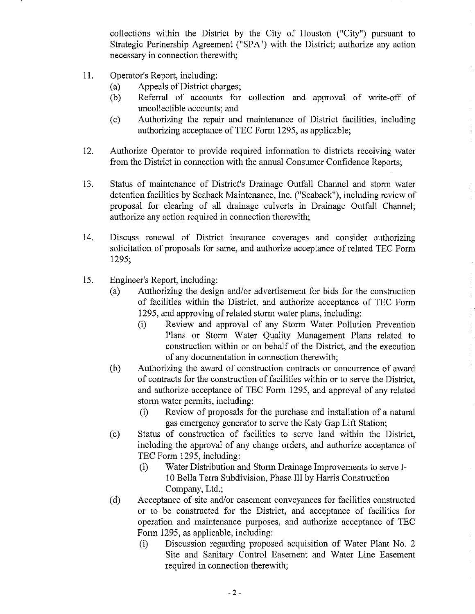collections within the District by the City of Houston ("City") pursuant to Strategic Partnership Agreement ("SPA") with the District; authorize any action necessary in connection therewith;

- 11. Operator's Report, including:
	- (a) Appeals of District charges;<br>(b) Referral of accounts for
	- Referral of accounts for collection and approval of write-off of uncollectible accounts; and
	- (c) Authorizing the repair and maintenance of District facilities, including authorizing acceptance of TEC Form 1295, as applicable;

 $\bar{z}$ 

ţ.

 $\mathbf{r}$ 

- 12. Authorize Operator to provide required information to districts receiving water from the District in connection with the annual Consumer Confidence Reports;
- 13. Status of maintenance of District's Drainage Outfall Channel and storm water detention facilities by Seaback Maintenance, Inc. ("Seaback"), including review of proposal for clearing of all drainage culverts in Drainage Outfall Channel; authorize any action required in connection therewith;
- 14. Discuss renewal of District insurance coverages and consider authorizing solicitation of proposals for same, and authorize acceptance of related TEC Form 1295;
- 15. Engineer's Report, including:
	- (a) Authorizing the design and/or advertisement for bids for the construction of facilities within the District, and authorize acceptance of TEC Form 1295, and approving of related storm water plans, including:
		- (i) Review and approval of any Storm Water Pollution Prevention Plans or Storm Water Quality Management Plans related to construction within or on behalf of the District, and the execution of any documentation in connection therewith;
	- (b) Authorizing the award of construction contracts or concurrence of award of contracts for the construction of facilities within or to serve the District, and authorize acceptance of TEC Form 1295, and approval of any related storm water permits, including;
		- (i) Review of proposals for the purchase and installation of a natural gas emergency generator to serve the Katy Gap Lift Station;
	- (c) Status of construction of facilities to serve land within the District, including the approval of any change orders, and authorize acceptance of TEC Form 1295, including;
		- (i) Water Distribution and Storm Drainage Improvements to serve I-10 Bella Terra Subdivision, Phase III by Harris Construction Company, Ltd.;
	- (d) Acceptance of site and/or easement conveyances for facilities constructed or to be constructed for the District, and acceptance of facilities for operation and maintenance purposes, and authorize acceptance of TEC Form 1295, as applicable, including:
		- (i) Discussion regarding proposed acquisition of Water Plant No. 2 Site and Sanitary Control Easement and Water Line Easement required in connection therewith;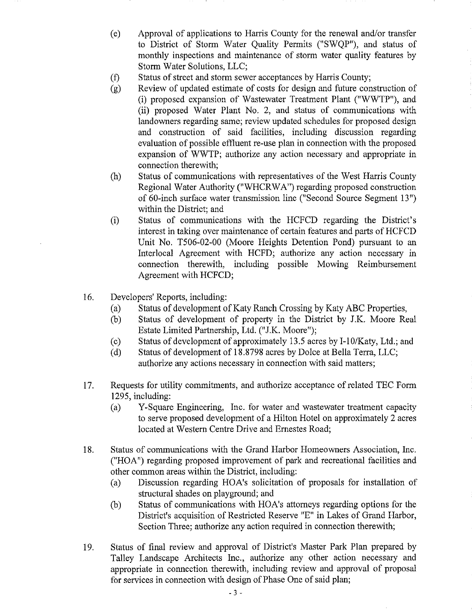(e) Approval of applications to Harris County for the renewal and/or transfer to District of Storm Water Quality Permits ("SWQP"), and status of monthly inspections and maintenance of storm water quality features by Storm Water Solutions, LLC;

- (f) Status of street and storm sewer acceptances by Harris County;
- (g) Review of updated estimate of costs for design and future construction of (i) proposed expansion of Wastewater Treatment Plant ("WWTP"), and (ii) proposed Water Plant No. 2, and status of communications with landowners regarding same; review updated schedules for proposed design and construction of said facilities, including discussion regarding evaluation of possible effluent re-use plan in connection with the proposed expansion of WWTP; authorize any action necessary and appropriate in connection therewith;
- Status of communications with representatives of the West Harris County  $(h)$ Regional Water Authority ("WHCRWA") regarding proposed construction of 60-inch surface water transmission line ("Second Source Segment 13") within the District; and
- Status of communications with the HCFCD regarding the District's  $(i)$ interest in taking over maintenance of certain features and parts of HCFCD Unit No. T506-02-00 (Moore Heights Detention Pond) pursuant to an Interlocal Agreement with HCFD; authorize any action necessary in connection therewith, including possible Mowing Reimbursement Agreement with HCFCD;
- 16. Developers' Reports, including:
	- (a) Status of development of Katy Ranch Crossing by Katy ABC Properties,<br>
	(b) Status of development of property in the District by J.K. Moore Re
	- Status of development of property in the District by J.K. Moore Real Estate Limited Partnership, Ltd. ("J.K. Moore");
	- (c) Status of development of approximately 13.5 acres by I-10/Katy, Ltd.; and (d) Status of development of 18.8798 acres by Dolce at Bella Terra, LLC;
	- Status of development of 18.8798 acres by Dolce at Bella Terra, LLC; authorize any actions necessary in connection with said matters;
- 17, Requests for utility commitments, and authorize acceptance of related TEC Form 1295, including:
	- (a) Y-Square Engineering, Inc. for water and wastewater treatment capacity to serve proposed development of a Hilton Hotel on approximately 2 acres located at Western Centre Drive and Ernestes Road;
- 18. Status of communications with the Grand Harbor Homeowners Association, Inc. ("HOA") regarding proposed improvement of park and recreational facilities and other common areas within the District, including:
	- (a) Discussion regarding HOA's solicitation of proposals for installation of structural shades on playground; and
	- (b) Status of communications with HOA's attorneys regarding options for the District's acquisition of Restricted Reserve "E" in Lakes of Grand Harbor, Section Three; authorize any action required in connection therewith;
- 19. Status of final review and approval of District's Master Park Plan prepared by Talley Landscape Architects Inc., authorize any other action necessary and appropriate in connection therewith, including review and approval of proposal for services in connection with design of Phase One of said plan;